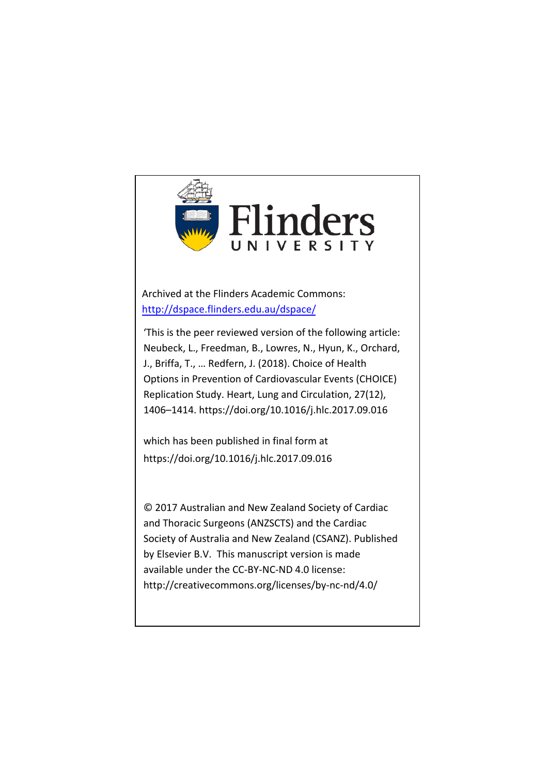

Archived at the Flinders Academic Commons: <http://dspace.flinders.edu.au/dspace/>

'This is the peer reviewed version of the following article: Neubeck, L., Freedman, B., Lowres, N., Hyun, K., Orchard, J., Briffa, T., … Redfern, J. (2018). Choice of Health Options in Prevention of Cardiovascular Events (CHOICE) Replication Study. Heart, Lung and Circulation, 27(12), 1406–1414. https://doi.org/10.1016/j.hlc.2017.09.016

which has been published in final form at https://doi.org/10.1016/j.hlc.2017.09.016

© 2017 Australian and New Zealand Society of Cardiac and Thoracic Surgeons (ANZSCTS) and the Cardiac Society of Australia and New Zealand (CSANZ). Published by Elsevier B.V. This manuscript version is made available under the CC-BY-NC-ND 4.0 license: http://creativecommons.org/licenses/by-nc-nd/4.0/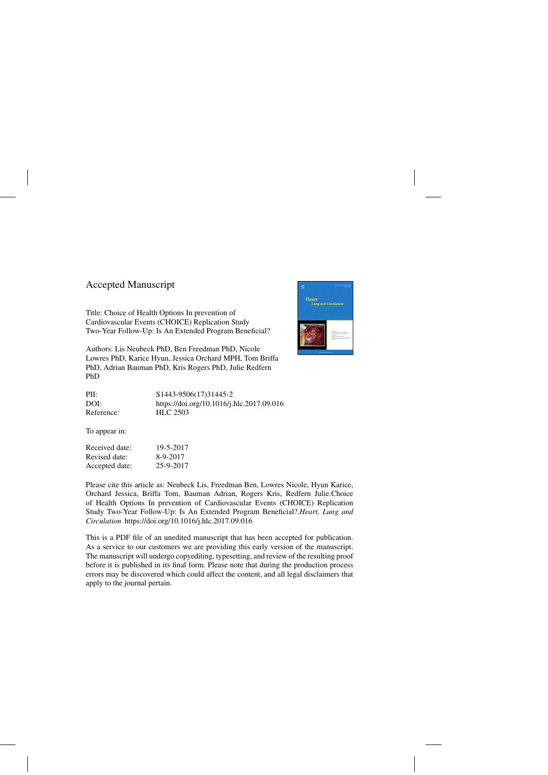### Accepted Manuscript

Title: Choice of Health Options In prevention of Cardiovascular Events (CHOICE) Replication Study Two-Year Follow-Up: Is An Extended Program Beneficial?

Authors: Lis Neubeck PhD, Ben Freedman PhD, Nicole Lowres PhD, Karice Hyun, Jessica Orchard MPH, Tom Briffa PhD, Adrian Bauman PhD, Kris Rogers PhD, Julie Redfern PhD

| PII:       | S1443-9506(17)31445-2                     |
|------------|-------------------------------------------|
| DOI:       | https://doi.org/10.1016/j.hlc.2017.09.016 |
| Reference: | <b>HLC 2503</b>                           |

To appear in:

| Received date: | 19-5-2017 |
|----------------|-----------|
| Revised date:  | 8-9-2017  |
| Accepted date: | 25-9-2017 |

Please cite this article as: Neubeck Lis, Freedman Ben, Lowres Nicole, Hyun Karice, Orchard Jessica, Briffa Tom, Bauman Adrian, Rogers Kris, Redfern Julie.Choice of Health Options In prevention of Cardiovascular Events (CHOICE) Replication Study Two-Year Follow-Up: Is An Extended Program Beneficial?.*Heart, Lung and Circulation* <https://doi.org/10.1016/j.hlc.2017.09.016>

This is a PDF file of an unedited manuscript that has been accepted for publication. As a service to our customers we are providing this early version of the manuscript. The manuscript will undergo copyediting, typesetting, and review of the resulting proof before it is published in its final form. Please note that during the production process errors may be discovered which could affect the content, and all legal disclaimers that apply to the journal pertain.

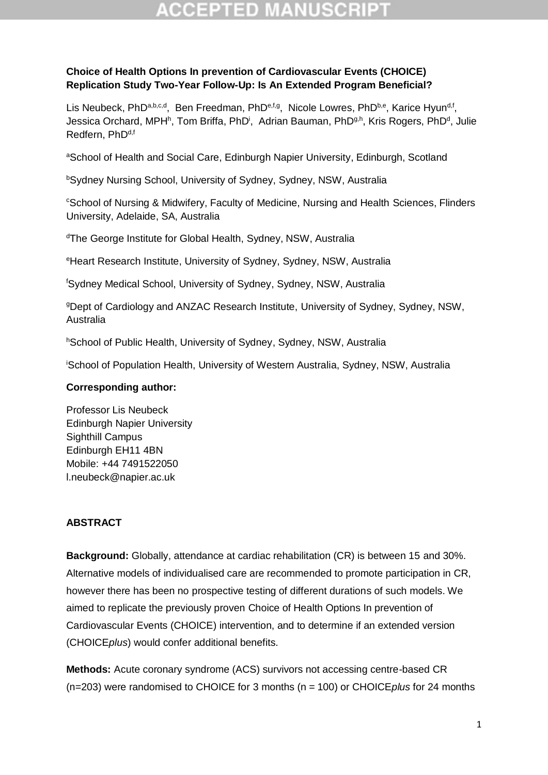### **Choice of Health Options In prevention of Cardiovascular Events (CHOICE) Replication Study Two-Year Follow-Up: Is An Extended Program Beneficial?**

Lis Neubeck, PhD<sup>a,b,c,d</sup>, Ben Freedman, PhD<sup>e,f,g</sup>, Nicole Lowres, PhD<sup>b,e</sup>, Karice Hyun<sup>d,f</sup>, Jessica Orchard, MPH<sup>h</sup>, Tom Briffa, PhD<sup>i</sup>, Adrian Bauman, PhD<sup>g,h</sup>, Kris Rogers, PhD<sup>d</sup>, Julie Redfern, PhD<sup>d,f</sup>

aSchool of Health and Social Care, Edinburgh Napier University, Edinburgh, Scotland

<sup>b</sup>Sydney Nursing School, University of Sydney, Sydney, NSW, Australia

<sup>c</sup>School of Nursing & Midwifery, Faculty of Medicine, Nursing and Health Sciences, Flinders University, Adelaide, SA, Australia

<sup>d</sup>The George Institute for Global Health, Sydney, NSW, Australia

<sup>e</sup>Heart Research Institute, University of Sydney, Sydney, NSW, Australia

<sup>f</sup>Sydney Medical School, University of Sydney, Sydney, NSW, Australia

<sup>g</sup>Dept of Cardiology and ANZAC Research Institute, University of Sydney, Sydney, NSW, Australia

hSchool of Public Health, University of Sydney, Sydney, NSW, Australia

<sup>i</sup>School of Population Health, University of Western Australia, Sydney, NSW, Australia

### **Corresponding author:**

Professor Lis Neubeck Edinburgh Napier University Sighthill Campus Edinburgh EH11 4BN Mobile: +44 7491522050 [l.neubeck@napier.ac.uk](mailto:l.neubeck@napier.ac.uk)

### **ABSTRACT**

**Background:** Globally, attendance at cardiac rehabilitation (CR) is between 15 and 30%. Alternative models of individualised care are recommended to promote participation in CR, however there has been no prospective testing of different durations of such models. We aimed to replicate the previously proven Choice of Health Options In prevention of Cardiovascular Events (CHOICE) intervention, and to determine if an extended version (CHOICE*plus*) would confer additional benefits.

**Methods:** Acute coronary syndrome (ACS) survivors not accessing centre-based CR (n=203) were randomised to CHOICE for 3 months (n = 100) or CHOICE*plus* for 24 months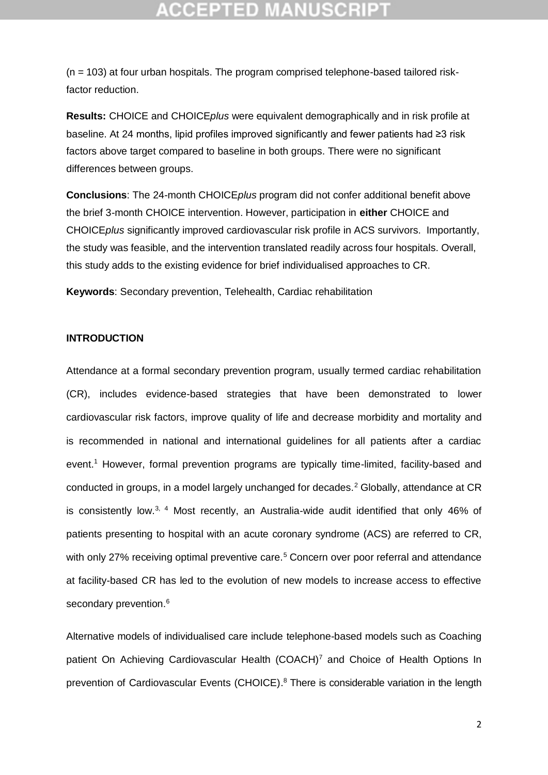(n = 103) at four urban hospitals. The program comprised telephone-based tailored riskfactor reduction.

**Results:** CHOICE and CHOICE*plus* were equivalent demographically and in risk profile at baseline. At 24 months, lipid profiles improved significantly and fewer patients had ≥3 risk factors above target compared to baseline in both groups. There were no significant differences between groups.

**Conclusions**: The 24-month CHOICE*plus* program did not confer additional benefit above the brief 3-month CHOICE intervention. However, participation in **either** CHOICE and CHOICE*plus* significantly improved cardiovascular risk profile in ACS survivors. Importantly, the study was feasible, and the intervention translated readily across four hospitals. Overall, this study adds to the existing evidence for brief individualised approaches to CR.

**Keywords**: Secondary prevention, Telehealth, Cardiac rehabilitation

### **INTRODUCTION**

Attendance at a formal secondary prevention program, usually termed cardiac rehabilitation (CR), includes evidence-based strategies that have been demonstrated to lower cardiovascular risk factors, improve quality of life and decrease morbidity and mortality and is recommended in national and international guidelines for all patients after a cardiac event. <sup>1</sup> However, formal prevention programs are typically time-limited, facility-based and conducted in groups, in a model largely unchanged for decades.<sup>2</sup> Globally, attendance at CR is consistently low. $3$ , 4 Most recently, an Australia-wide audit identified that only 46% of patients presenting to hospital with an acute coronary syndrome (ACS) are referred to CR, with only 27% receiving optimal preventive care.<sup>5</sup> Concern over poor referral and attendance at facility-based CR has led to the evolution of new models to increase access to effective secondary prevention.<sup>6</sup>

Alternative models of individualised care include telephone-based models such as Coaching patient On Achieving Cardiovascular Health (COACH)<sup>7</sup> and Choice of Health Options In prevention of Cardiovascular Events (CHOICE).<sup>8</sup> There is considerable variation in the length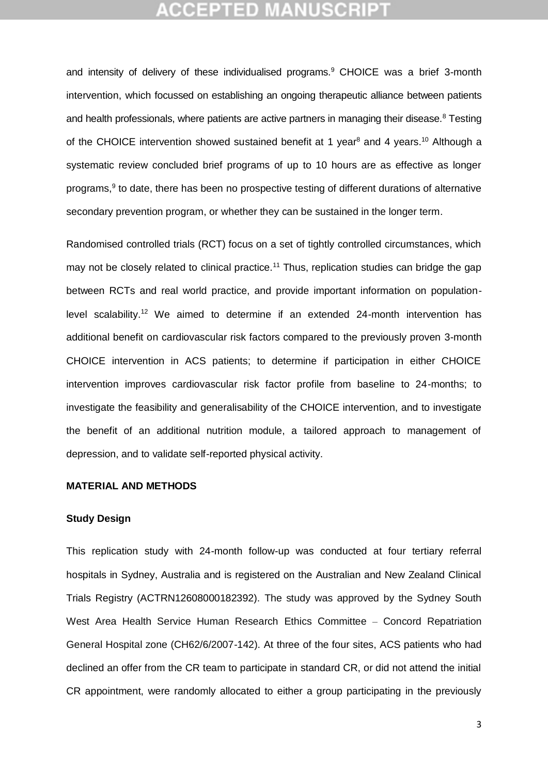and intensity of delivery of these individualised programs.<sup>9</sup> CHOICE was a brief 3-month intervention, which focussed on establishing an ongoing therapeutic alliance between patients and health professionals, where patients are active partners in managing their disease.<sup>8</sup> Testing of the CHOICE intervention showed sustained benefit at 1 year<sup>8</sup> and 4 years.<sup>10</sup> Although a systematic review concluded brief programs of up to 10 hours are as effective as longer programs,<sup>9</sup> to date, there has been no prospective testing of different durations of alternative secondary prevention program, or whether they can be sustained in the longer term.

Randomised controlled trials (RCT) focus on a set of tightly controlled circumstances, which may not be closely related to clinical practice.<sup>11</sup> Thus, replication studies can bridge the gap between RCTs and real world practice, and provide important information on populationlevel scalability.<sup>12</sup> We aimed to determine if an extended 24-month intervention has additional benefit on cardiovascular risk factors compared to the previously proven 3-month CHOICE intervention in ACS patients; to determine if participation in either CHOICE intervention improves cardiovascular risk factor profile from baseline to 24-months; to investigate the feasibility and generalisability of the CHOICE intervention, and to investigate the benefit of an additional nutrition module, a tailored approach to management of depression, and to validate self-reported physical activity.

### **MATERIAL AND METHODS**

### **Study Design**

This replication study with 24-month follow-up was conducted at four tertiary referral hospitals in Sydney, Australia and is registered on the Australian and New Zealand Clinical Trials Registry (ACTRN12608000182392). The study was approved by the Sydney South West Area Health Service Human Research Ethics Committee – Concord Repatriation General Hospital zone (CH62/6/2007-142). At three of the four sites, ACS patients who had declined an offer from the CR team to participate in standard CR, or did not attend the initial CR appointment, were randomly allocated to either a group participating in the previously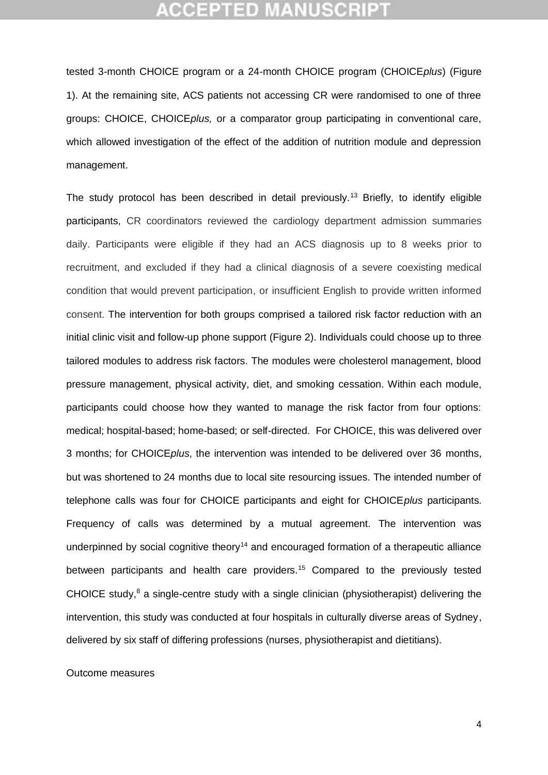tested 3-month CHOICE program or a 24-month CHOICE program (CHOICE*plus*) (Figure 1). At the remaining site, ACS patients not accessing CR were randomised to one of three groups: CHOICE, CHOICE*plus,* or a comparator group participating in conventional care, which allowed investigation of the effect of the addition of nutrition module and depression management.

The study protocol has been described in detail previously.<sup>13</sup> Briefly, to identify eligible participants, CR coordinators reviewed the cardiology department admission summaries daily. Participants were eligible if they had an ACS diagnosis up to 8 weeks prior to recruitment, and excluded if they had a clinical diagnosis of a severe coexisting medical condition that would prevent participation, or insufficient English to provide written informed consent. The intervention for both groups comprised a tailored risk factor reduction with an initial clinic visit and follow-up phone support (Figure 2). Individuals could choose up to three tailored modules to address risk factors. The modules were cholesterol management, blood pressure management, physical activity, diet, and smoking cessation. Within each module, participants could choose how they wanted to manage the risk factor from four options: medical; hospital-based; home-based; or self-directed. For CHOICE, this was delivered over 3 months; for CHOICE*plus*, the intervention was intended to be delivered over 36 months, but was shortened to 24 months due to local site resourcing issues. The intended number of telephone calls was four for CHOICE participants and eight for CHOICE*plus* participants. Frequency of calls was determined by a mutual agreement. The intervention was underpinned by social cognitive theory<sup>14</sup> and encouraged formation of a therapeutic alliance between participants and health care providers.<sup>15</sup> Compared to the previously tested CHOICE study,<sup>8</sup> a single-centre study with a single clinician (physiotherapist) delivering the intervention, this study was conducted at four hospitals in culturally diverse areas of Sydney, delivered by six staff of differing professions (nurses, physiotherapist and dietitians).

Outcome measures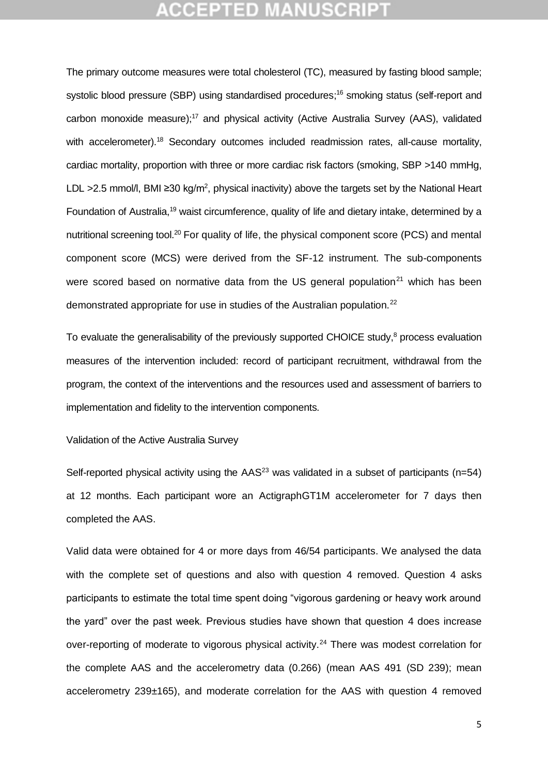The primary outcome measures were total cholesterol (TC), measured by fasting blood sample; systolic blood pressure (SBP) using standardised procedures;<sup>16</sup> smoking status (self-report and carbon monoxide measure);<sup>17</sup> and physical activity (Active Australia Survey (AAS), validated with accelerometer).<sup>18</sup> Secondary outcomes included readmission rates, all-cause mortality, cardiac mortality, proportion with three or more cardiac risk factors (smoking, SBP >140 mmHg, LDL >2.5 mmol/l, BMI ≥30 kg/m<sup>2</sup>, physical inactivity) above the targets set by the National Heart Foundation of Australia,<sup>19</sup> waist circumference, quality of life and dietary intake, determined by a nutritional screening tool.<sup>20</sup> For quality of life, the physical component score (PCS) and mental component score (MCS) were derived from the SF-12 instrument. The sub-components were scored based on normative data from the US general population<sup>21</sup> which has been demonstrated appropriate for use in studies of the Australian population.<sup>22</sup>

To evaluate the generalisability of the previously supported CHOICE study,<sup>8</sup> process evaluation measures of the intervention included: record of participant recruitment, withdrawal from the program, the context of the interventions and the resources used and assessment of barriers to implementation and fidelity to the intervention components.

Validation of the Active Australia Survey

Self-reported physical activity using the  $AAS<sup>23</sup>$  was validated in a subset of participants (n=54) at 12 months. Each participant wore an ActigraphGT1M accelerometer for 7 days then completed the AAS.

Valid data were obtained for 4 or more days from 46/54 participants. We analysed the data with the complete set of questions and also with question 4 removed. Question 4 asks participants to estimate the total time spent doing "vigorous gardening or heavy work around the yard" over the past week. Previous studies have shown that question 4 does increase over-reporting of moderate to vigorous physical activity.<sup>24</sup> There was modest correlation for the complete AAS and the accelerometry data (0.266) (mean AAS 491 (SD 239); mean accelerometry 239±165), and moderate correlation for the AAS with question 4 removed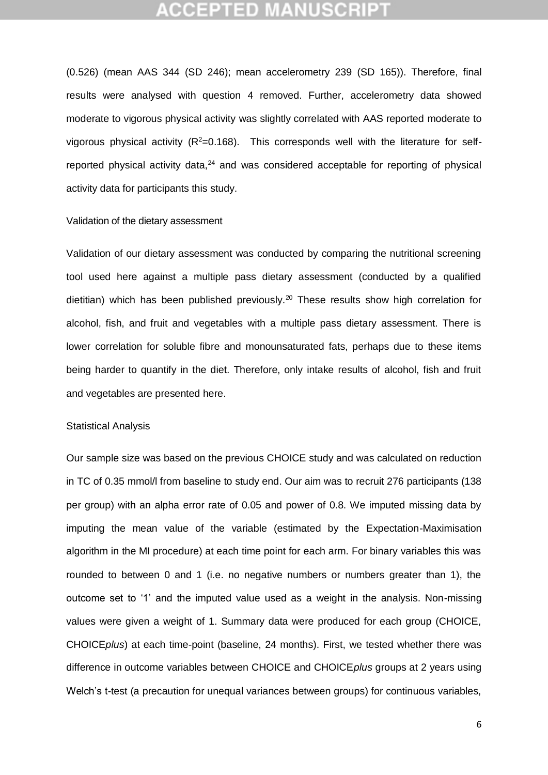(0.526) (mean AAS 344 (SD 246); mean accelerometry 239 (SD 165)). Therefore, final results were analysed with question 4 removed. Further, accelerometry data showed moderate to vigorous physical activity was slightly correlated with AAS reported moderate to vigorous physical activity  $(R^2=0.168)$ . This corresponds well with the literature for selfreported physical activity data, $24$  and was considered acceptable for reporting of physical activity data for participants this study.

### Validation of the dietary assessment

Validation of our dietary assessment was conducted by comparing the nutritional screening tool used here against a multiple pass dietary assessment (conducted by a qualified dietitian) which has been published previously.<sup>20</sup> These results show high correlation for alcohol, fish, and fruit and vegetables with a multiple pass dietary assessment. There is lower correlation for soluble fibre and monounsaturated fats, perhaps due to these items being harder to quantify in the diet. Therefore, only intake results of alcohol, fish and fruit and vegetables are presented here.

#### Statistical Analysis

Our sample size was based on the previous CHOICE study and was calculated on reduction in TC of 0.35 mmol/l from baseline to study end. Our aim was to recruit 276 participants (138 per group) with an alpha error rate of 0.05 and power of 0.8. We imputed missing data by imputing the mean value of the variable (estimated by the Expectation-Maximisation algorithm in the MI procedure) at each time point for each arm. For binary variables this was rounded to between 0 and 1 (i.e. no negative numbers or numbers greater than 1), the outcome set to '1' and the imputed value used as a weight in the analysis. Non-missing values were given a weight of 1. Summary data were produced for each group (CHOICE, CHOICE*plus*) at each time-point (baseline, 24 months). First, we tested whether there was difference in outcome variables between CHOICE and CHOICE*plus* groups at 2 years using Welch's t-test (a precaution for unequal variances between groups) for continuous variables,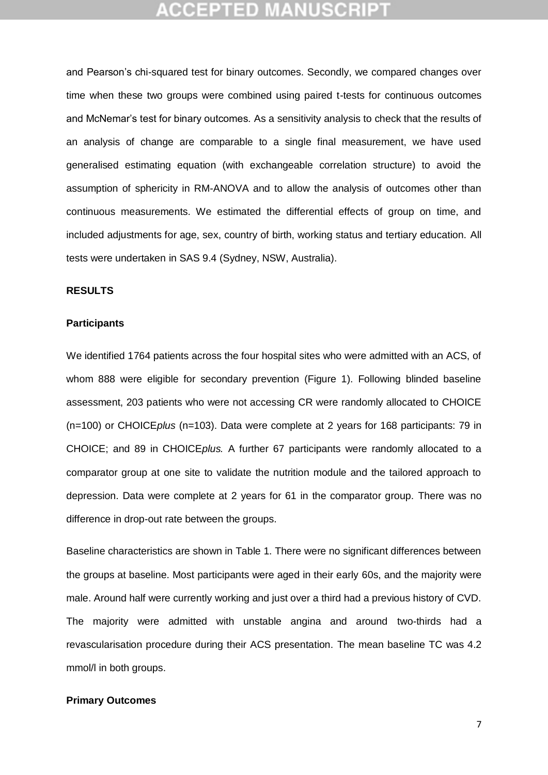## **CCEPTED MANUSCR**

and Pearson's chi-squared test for binary outcomes. Secondly, we compared changes over time when these two groups were combined using paired t-tests for continuous outcomes and McNemar's test for binary outcomes. As a sensitivity analysis to check that the results of an analysis of change are comparable to a single final measurement, we have used generalised estimating equation (with exchangeable correlation structure) to avoid the assumption of sphericity in RM-ANOVA and to allow the analysis of outcomes other than continuous measurements. We estimated the differential effects of group on time, and included adjustments for age, sex, country of birth, working status and tertiary education. All tests were undertaken in SAS 9.4 (Sydney, NSW, Australia).

### **RESULTS**

#### **Participants**

We identified 1764 patients across the four hospital sites who were admitted with an ACS, of whom 888 were eligible for secondary prevention (Figure 1). Following blinded baseline assessment, 203 patients who were not accessing CR were randomly allocated to CHOICE (n=100) or CHOICE*plus* (n=103). Data were complete at 2 years for 168 participants: 79 in CHOICE; and 89 in CHOICE*plus.* A further 67 participants were randomly allocated to a comparator group at one site to validate the nutrition module and the tailored approach to depression. Data were complete at 2 years for 61 in the comparator group. There was no difference in drop-out rate between the groups.

Baseline characteristics are shown in Table 1. There were no significant differences between the groups at baseline. Most participants were aged in their early 60s, and the majority were male. Around half were currently working and just over a third had a previous history of CVD. The majority were admitted with unstable angina and around two-thirds had a revascularisation procedure during their ACS presentation. The mean baseline TC was 4.2 mmol/l in both groups.

### **Primary Outcomes**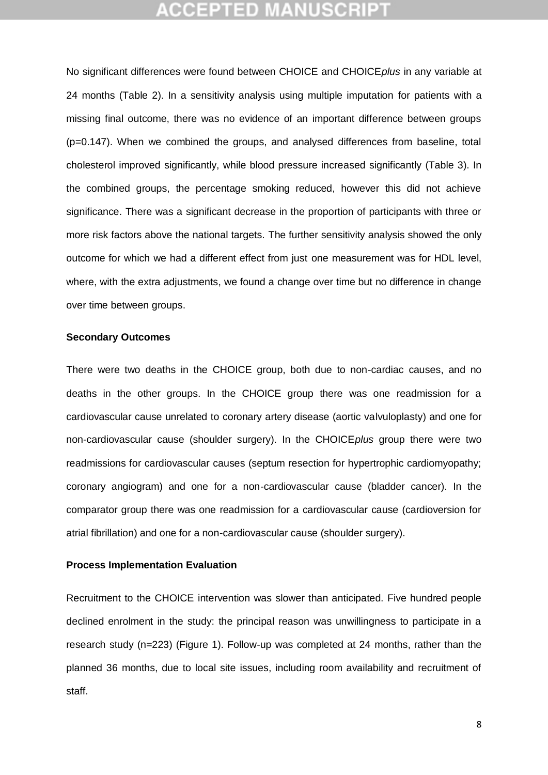# **CCEPTED MANUSCR**

No significant differences were found between CHOICE and CHOICE*plus* in any variable at 24 months (Table 2). In a sensitivity analysis using multiple imputation for patients with a missing final outcome, there was no evidence of an important difference between groups (p=0.147). When we combined the groups, and analysed differences from baseline, total cholesterol improved significantly, while blood pressure increased significantly (Table 3). In the combined groups, the percentage smoking reduced, however this did not achieve significance. There was a significant decrease in the proportion of participants with three or more risk factors above the national targets. The further sensitivity analysis showed the only outcome for which we had a different effect from just one measurement was for HDL level, where, with the extra adjustments, we found a change over time but no difference in change over time between groups.

### **Secondary Outcomes**

There were two deaths in the CHOICE group, both due to non-cardiac causes, and no deaths in the other groups. In the CHOICE group there was one readmission for a cardiovascular cause unrelated to coronary artery disease (aortic valvuloplasty) and one for non-cardiovascular cause (shoulder surgery). In the CHOICE*plus* group there were two readmissions for cardiovascular causes (septum resection for hypertrophic cardiomyopathy; coronary angiogram) and one for a non-cardiovascular cause (bladder cancer). In the comparator group there was one readmission for a cardiovascular cause (cardioversion for atrial fibrillation) and one for a non-cardiovascular cause (shoulder surgery).

#### **Process Implementation Evaluation**

Recruitment to the CHOICE intervention was slower than anticipated. Five hundred people declined enrolment in the study: the principal reason was unwillingness to participate in a research study (n=223) (Figure 1). Follow-up was completed at 24 months, rather than the planned 36 months, due to local site issues, including room availability and recruitment of staff.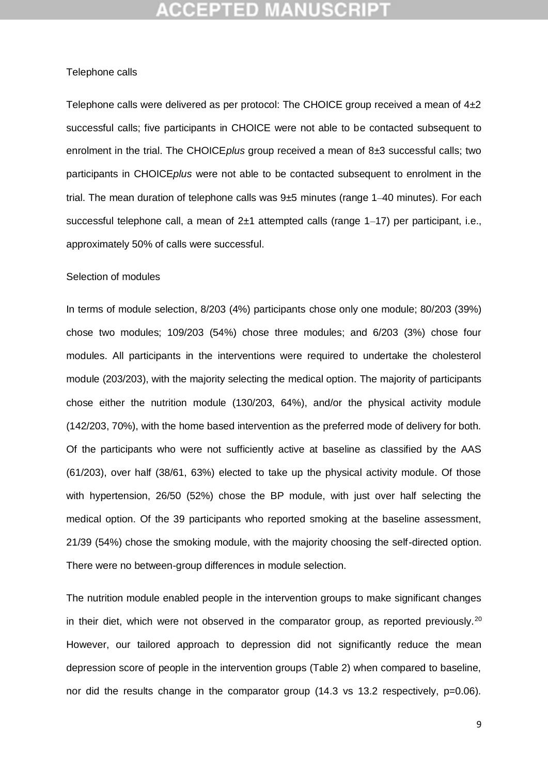#### Telephone calls

Telephone calls were delivered as per protocol: The CHOICE group received a mean of 4±2 successful calls; five participants in CHOICE were not able to be contacted subsequent to enrolment in the trial. The CHOICE*plus* group received a mean of 8±3 successful calls; two participants in CHOICE*plus* were not able to be contacted subsequent to enrolment in the trial. The mean duration of telephone calls was 9±5 minutes (range 1–40 minutes). For each successful telephone call, a mean of 2±1 attempted calls (range 1–17) per participant, i.e., approximately 50% of calls were successful.

### Selection of modules

In terms of module selection, 8/203 (4%) participants chose only one module; 80/203 (39%) chose two modules; 109/203 (54%) chose three modules; and 6/203 (3%) chose four modules. All participants in the interventions were required to undertake the cholesterol module (203/203), with the majority selecting the medical option. The majority of participants chose either the nutrition module (130/203, 64%), and/or the physical activity module (142/203, 70%), with the home based intervention as the preferred mode of delivery for both. Of the participants who were not sufficiently active at baseline as classified by the AAS (61/203), over half (38/61, 63%) elected to take up the physical activity module. Of those with hypertension, 26/50 (52%) chose the BP module, with just over half selecting the medical option. Of the 39 participants who reported smoking at the baseline assessment, 21/39 (54%) chose the smoking module, with the majority choosing the self-directed option. There were no between-group differences in module selection.

The nutrition module enabled people in the intervention groups to make significant changes in their diet, which were not observed in the comparator group, as reported previously.<sup>20</sup> However, our tailored approach to depression did not significantly reduce the mean depression score of people in the intervention groups (Table 2) when compared to baseline, nor did the results change in the comparator group (14.3 vs 13.2 respectively, p=0.06).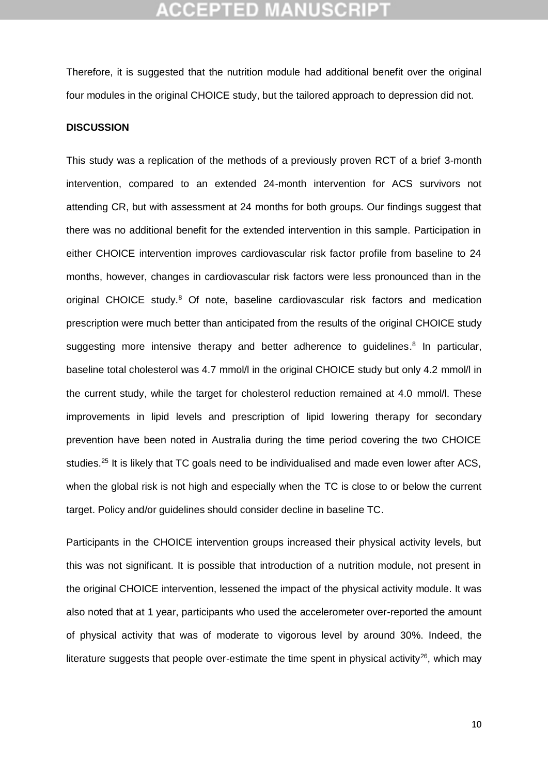Therefore, it is suggested that the nutrition module had additional benefit over the original four modules in the original CHOICE study, but the tailored approach to depression did not.

### **DISCUSSION**

This study was a replication of the methods of a previously proven RCT of a brief 3-month intervention, compared to an extended 24-month intervention for ACS survivors not attending CR, but with assessment at 24 months for both groups. Our findings suggest that there was no additional benefit for the extended intervention in this sample. Participation in either CHOICE intervention improves cardiovascular risk factor profile from baseline to 24 months, however, changes in cardiovascular risk factors were less pronounced than in the original CHOICE study.<sup>8</sup> Of note, baseline cardiovascular risk factors and medication prescription were much better than anticipated from the results of the original CHOICE study suggesting more intensive therapy and better adherence to guidelines.<sup>8</sup> In particular, baseline total cholesterol was 4.7 mmol/l in the original CHOICE study but only 4.2 mmol/l in the current study, while the target for cholesterol reduction remained at 4.0 mmol/l. These improvements in lipid levels and prescription of lipid lowering therapy for secondary prevention have been noted in Australia during the time period covering the two CHOICE studies.<sup>25</sup> It is likely that TC goals need to be individualised and made even lower after ACS, when the global risk is not high and especially when the TC is close to or below the current target. Policy and/or guidelines should consider decline in baseline TC.

Participants in the CHOICE intervention groups increased their physical activity levels, but this was not significant. It is possible that introduction of a nutrition module, not present in the original CHOICE intervention, lessened the impact of the physical activity module. It was also noted that at 1 year, participants who used the accelerometer over-reported the amount of physical activity that was of moderate to vigorous level by around 30%. Indeed, the literature suggests that people over-estimate the time spent in physical activity<sup>26</sup>, which may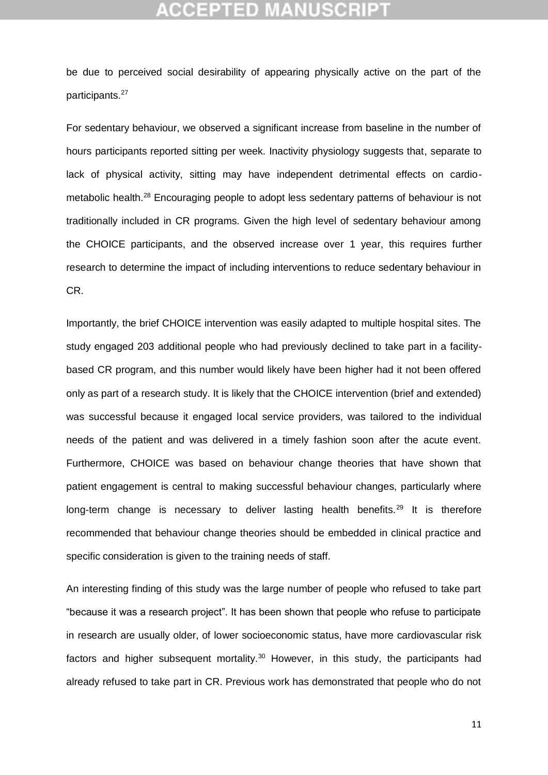be due to perceived social desirability of appearing physically active on the part of the participants.<sup>27</sup>

For sedentary behaviour, we observed a significant increase from baseline in the number of hours participants reported sitting per week. Inactivity physiology suggests that, separate to lack of physical activity, sitting may have independent detrimental effects on cardiometabolic health.<sup>28</sup> Encouraging people to adopt less sedentary patterns of behaviour is not traditionally included in CR programs. Given the high level of sedentary behaviour among the CHOICE participants, and the observed increase over 1 year, this requires further research to determine the impact of including interventions to reduce sedentary behaviour in CR.

Importantly, the brief CHOICE intervention was easily adapted to multiple hospital sites. The study engaged 203 additional people who had previously declined to take part in a facilitybased CR program, and this number would likely have been higher had it not been offered only as part of a research study. It is likely that the CHOICE intervention (brief and extended) was successful because it engaged local service providers, was tailored to the individual needs of the patient and was delivered in a timely fashion soon after the acute event. Furthermore, CHOICE was based on behaviour change theories that have shown that patient engagement is central to making successful behaviour changes, particularly where long-term change is necessary to deliver lasting health benefits.<sup>29</sup> It is therefore recommended that behaviour change theories should be embedded in clinical practice and specific consideration is given to the training needs of staff.

An interesting finding of this study was the large number of people who refused to take part "because it was a research project". It has been shown that people who refuse to participate in research are usually older, of lower socioeconomic status, have more cardiovascular risk factors and higher subsequent mortality.<sup>30</sup> However, in this study, the participants had already refused to take part in CR. Previous work has demonstrated that people who do not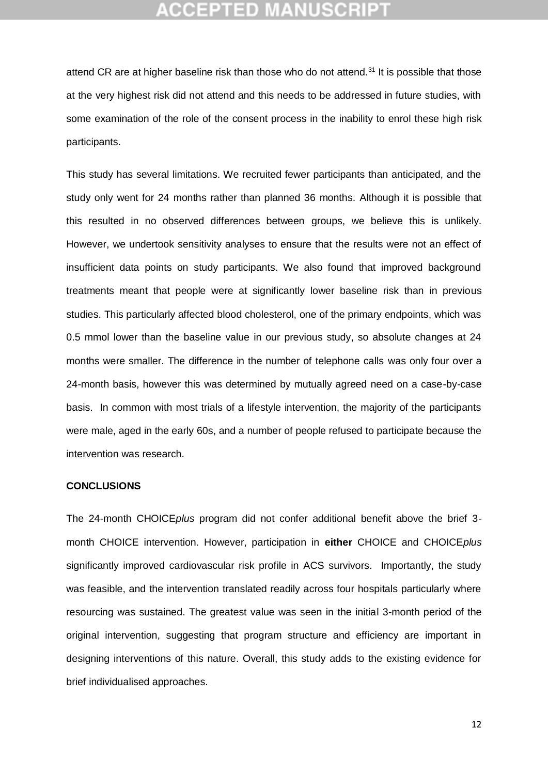## ICEPTED M

attend CR are at higher baseline risk than those who do not attend.<sup>31</sup> It is possible that those at the very highest risk did not attend and this needs to be addressed in future studies, with some examination of the role of the consent process in the inability to enrol these high risk participants.

This study has several limitations. We recruited fewer participants than anticipated, and the study only went for 24 months rather than planned 36 months. Although it is possible that this resulted in no observed differences between groups, we believe this is unlikely. However, we undertook sensitivity analyses to ensure that the results were not an effect of insufficient data points on study participants. We also found that improved background treatments meant that people were at significantly lower baseline risk than in previous studies. This particularly affected blood cholesterol, one of the primary endpoints, which was 0.5 mmol lower than the baseline value in our previous study, so absolute changes at 24 months were smaller. The difference in the number of telephone calls was only four over a 24-month basis, however this was determined by mutually agreed need on a case-by-case basis. In common with most trials of a lifestyle intervention, the majority of the participants were male, aged in the early 60s, and a number of people refused to participate because the intervention was research.

### **CONCLUSIONS**

The 24-month CHOICE*plus* program did not confer additional benefit above the brief 3 month CHOICE intervention. However, participation in **either** CHOICE and CHOICE*plus* significantly improved cardiovascular risk profile in ACS survivors. Importantly, the study was feasible, and the intervention translated readily across four hospitals particularly where resourcing was sustained. The greatest value was seen in the initial 3-month period of the original intervention, suggesting that program structure and efficiency are important in designing interventions of this nature. Overall, this study adds to the existing evidence for brief individualised approaches.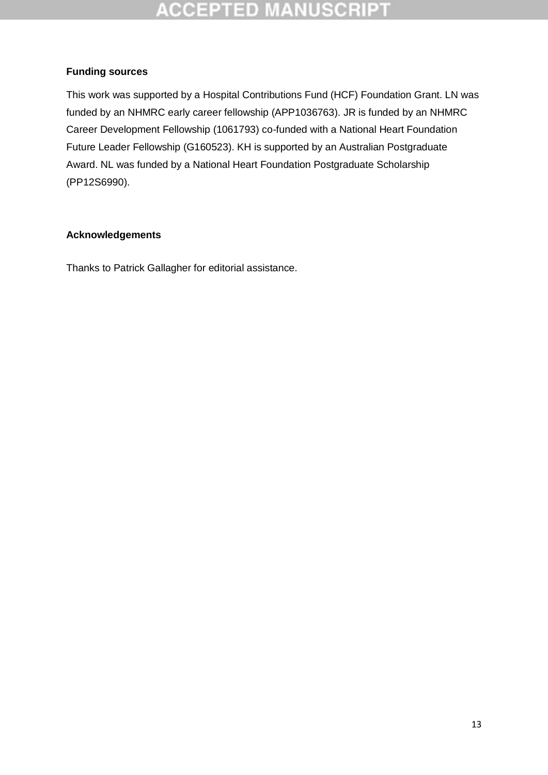### **Funding sources**

This work was supported by a Hospital Contributions Fund (HCF) Foundation Grant. LN was funded by an NHMRC early career fellowship (APP1036763). JR is funded by an NHMRC Career Development Fellowship (1061793) co-funded with a National Heart Foundation Future Leader Fellowship (G160523). KH is supported by an Australian Postgraduate Award. NL was funded by a National Heart Foundation Postgraduate Scholarship (PP12S6990).

### **Acknowledgements**

Thanks to Patrick Gallagher for editorial assistance.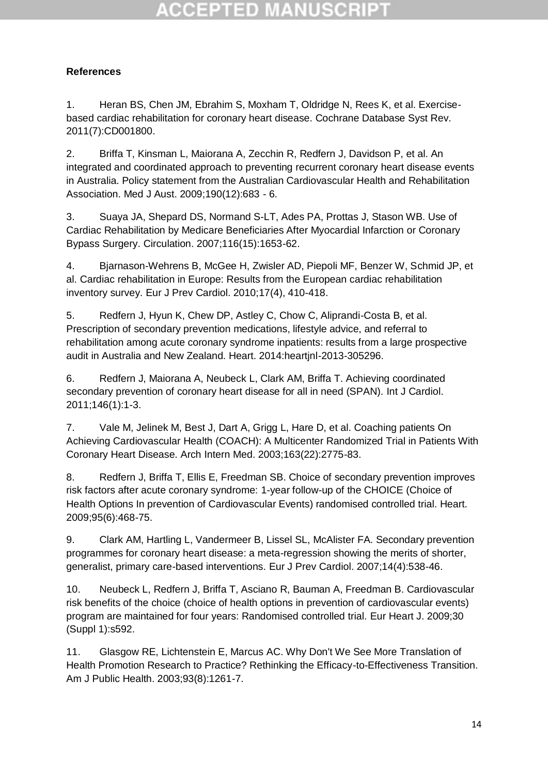# CCEPTED M

### **References**

1. Heran BS, Chen JM, Ebrahim S, Moxham T, Oldridge N, Rees K, et al. Exercisebased cardiac rehabilitation for coronary heart disease. Cochrane Database Syst Rev. 2011(7):CD001800.

2. Briffa T, Kinsman L, Maiorana A, Zecchin R, Redfern J, Davidson P, et al. An integrated and coordinated approach to preventing recurrent coronary heart disease events in Australia. Policy statement from the Australian Cardiovascular Health and Rehabilitation Association. Med J Aust. 2009;190(12):683 - 6.

3. Suaya JA, Shepard DS, Normand S-LT, Ades PA, Prottas J, Stason WB. Use of Cardiac Rehabilitation by Medicare Beneficiaries After Myocardial Infarction or Coronary Bypass Surgery. Circulation. 2007;116(15):1653-62.

4. Bjarnason-Wehrens B, McGee H, Zwisler AD, Piepoli MF, Benzer W, Schmid JP, et al. Cardiac rehabilitation in Europe: Results from the European cardiac rehabilitation inventory survey. Eur J Prev Cardiol. 2010;17(4), 410-418.

5. Redfern J, Hyun K, Chew DP, Astley C, Chow C, Aliprandi-Costa B, et al. Prescription of secondary prevention medications, lifestyle advice, and referral to rehabilitation among acute coronary syndrome inpatients: results from a large prospective audit in Australia and New Zealand. Heart. 2014:heartjnl-2013-305296.

6. Redfern J, Maiorana A, Neubeck L, Clark AM, Briffa T. Achieving coordinated secondary prevention of coronary heart disease for all in need (SPAN). Int J Cardiol. 2011;146(1):1-3.

7. Vale M, Jelinek M, Best J, Dart A, Grigg L, Hare D, et al. Coaching patients On Achieving Cardiovascular Health (COACH): A Multicenter Randomized Trial in Patients With Coronary Heart Disease. Arch Intern Med. 2003;163(22):2775-83.

8. Redfern J, Briffa T, Ellis E, Freedman SB. Choice of secondary prevention improves risk factors after acute coronary syndrome: 1-year follow-up of the CHOICE (Choice of Health Options In prevention of Cardiovascular Events) randomised controlled trial. Heart. 2009;95(6):468-75.

9. Clark AM, Hartling L, Vandermeer B, Lissel SL, McAlister FA. Secondary prevention programmes for coronary heart disease: a meta-regression showing the merits of shorter, generalist, primary care-based interventions. Eur J Prev Cardiol. 2007;14(4):538-46.

10. Neubeck L, Redfern J, Briffa T, Asciano R, Bauman A, Freedman B. Cardiovascular risk benefits of the choice (choice of health options in prevention of cardiovascular events) program are maintained for four years: Randomised controlled trial. Eur Heart J. 2009;30 (Suppl 1):s592.

11. Glasgow RE, Lichtenstein E, Marcus AC. Why Don't We See More Translation of Health Promotion Research to Practice? Rethinking the Efficacy-to-Effectiveness Transition. Am J Public Health. 2003;93(8):1261-7.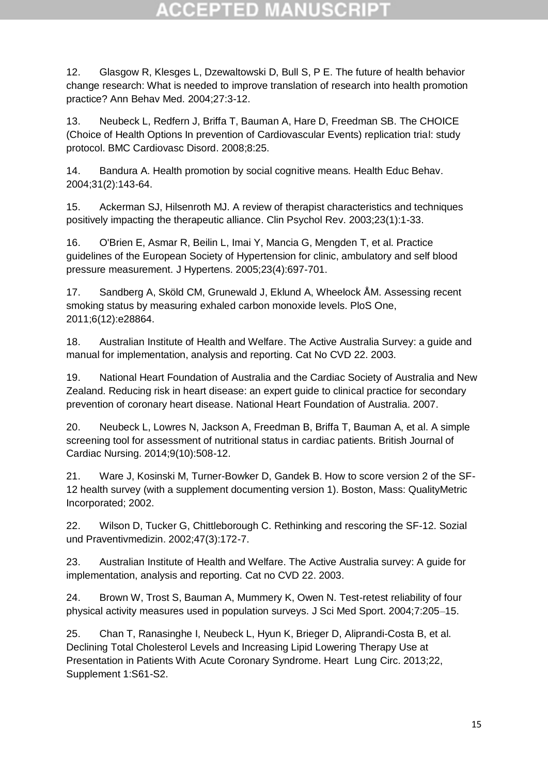12. Glasgow R, Klesges L, Dzewaltowski D, Bull S, P E. The future of health behavior change research: What is needed to improve translation of research into health promotion practice? Ann Behav Med. 2004;27:3-12.

13. Neubeck L, Redfern J, Briffa T, Bauman A, Hare D, Freedman SB. The CHOICE (Choice of Health Options In prevention of Cardiovascular Events) replication trial: study protocol. BMC Cardiovasc Disord. 2008;8:25.

14. Bandura A. Health promotion by social cognitive means. Health Educ Behav. 2004;31(2):143-64.

15. Ackerman SJ, Hilsenroth MJ. A review of therapist characteristics and techniques positively impacting the therapeutic alliance. Clin Psychol Rev. 2003;23(1):1-33.

16. O'Brien E, Asmar R, Beilin L, Imai Y, Mancia G, Mengden T, et al. Practice guidelines of the European Society of Hypertension for clinic, ambulatory and self blood pressure measurement. J Hypertens. 2005;23(4):697-701.

17. Sandberg A, Sköld CM, Grunewald J, Eklund A, Wheelock ÅM. Assessing recent smoking status by measuring exhaled carbon monoxide levels. PloS One, 2011;6(12):e28864.

18. Australian Institute of Health and Welfare. The Active Australia Survey: a guide and manual for implementation, analysis and reporting. Cat No CVD 22. 2003.

19. National Heart Foundation of Australia and the Cardiac Society of Australia and New Zealand. Reducing risk in heart disease: an expert guide to clinical practice for secondary prevention of coronary heart disease. National Heart Foundation of Australia. 2007.

20. Neubeck L, Lowres N, Jackson A, Freedman B, Briffa T, Bauman A, et al. A simple screening tool for assessment of nutritional status in cardiac patients. British Journal of Cardiac Nursing. 2014;9(10):508-12.

21. Ware J, Kosinski M, Turner-Bowker D, Gandek B. How to score version 2 of the SF-12 health survey (with a supplement documenting version 1). Boston, Mass: QualityMetric Incorporated; 2002.

22. Wilson D, Tucker G, Chittleborough C. Rethinking and rescoring the SF-12. Sozial und Praventivmedizin. 2002;47(3):172-7.

23. Australian Institute of Health and Welfare. The Active Australia survey: A guide for implementation, analysis and reporting. Cat no CVD 22. 2003.

24. Brown W, Trost S, Bauman A, Mummery K, Owen N. Test-retest reliability of four physical activity measures used in population surveys. J Sci Med Sport. 2004;7:205–15.

25. Chan T, Ranasinghe I, Neubeck L, Hyun K, Brieger D, Aliprandi-Costa B, et al. Declining Total Cholesterol Levels and Increasing Lipid Lowering Therapy Use at Presentation in Patients With Acute Coronary Syndrome. Heart Lung Circ. 2013;22, Supplement 1:S61-S2.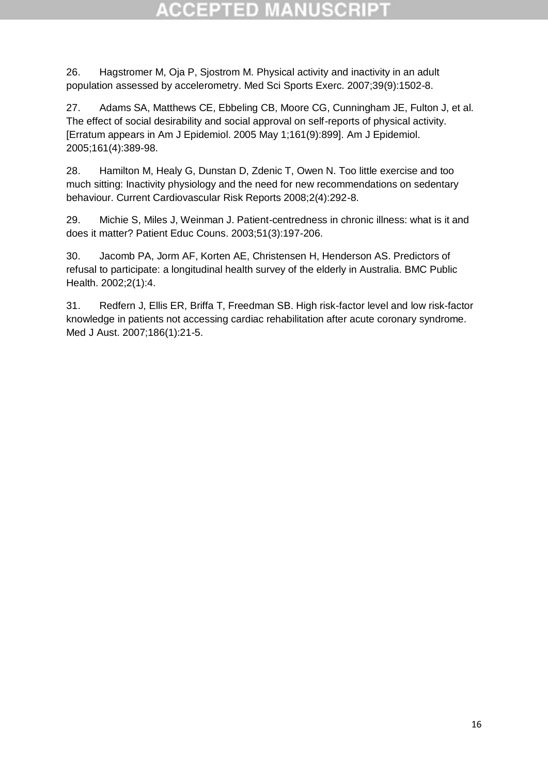26. Hagstromer M, Oja P, Sjostrom M. Physical activity and inactivity in an adult population assessed by accelerometry. Med Sci Sports Exerc. 2007;39(9):1502-8.

27. Adams SA, Matthews CE, Ebbeling CB, Moore CG, Cunningham JE, Fulton J, et al. The effect of social desirability and social approval on self-reports of physical activity. [Erratum appears in Am J Epidemiol. 2005 May 1;161(9):899]. Am J Epidemiol. 2005;161(4):389-98.

28. Hamilton M, Healy G, Dunstan D, Zdenic T, Owen N. Too little exercise and too much sitting: Inactivity physiology and the need for new recommendations on sedentary behaviour. Current Cardiovascular Risk Reports 2008;2(4):292-8.

29. Michie S, Miles J, Weinman J. Patient-centredness in chronic illness: what is it and does it matter? Patient Educ Couns. 2003;51(3):197-206.

30. Jacomb PA, Jorm AF, Korten AE, Christensen H, Henderson AS. Predictors of refusal to participate: a longitudinal health survey of the elderly in Australia. BMC Public Health. 2002;2(1):4.

31. Redfern J, Ellis ER, Briffa T, Freedman SB. High risk-factor level and low risk-factor knowledge in patients not accessing cardiac rehabilitation after acute coronary syndrome. Med J Aust. 2007;186(1):21-5.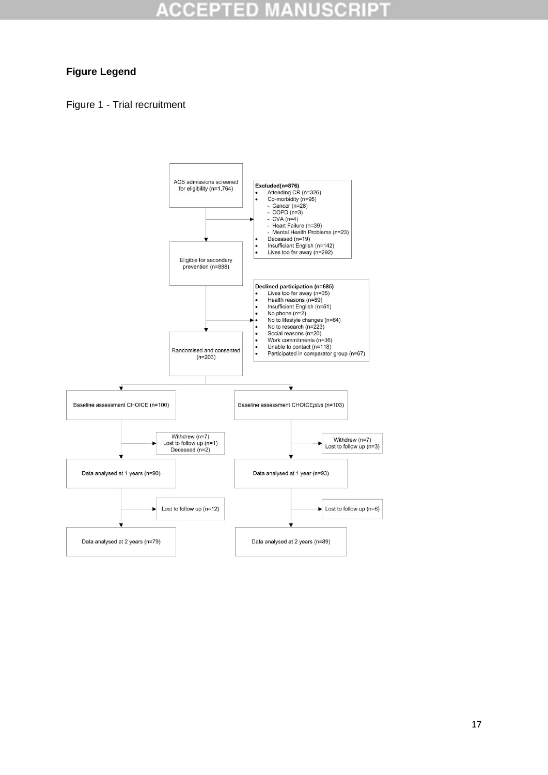### **Figure Legend**

### Figure 1 - Trial recruitment

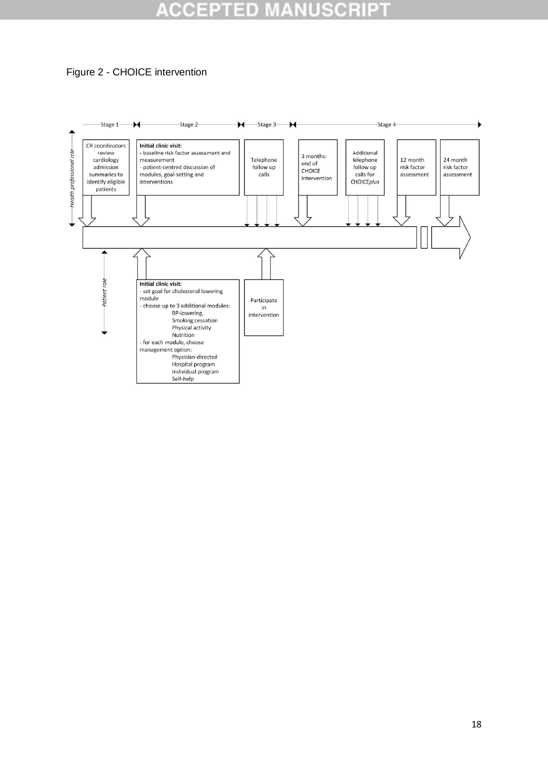

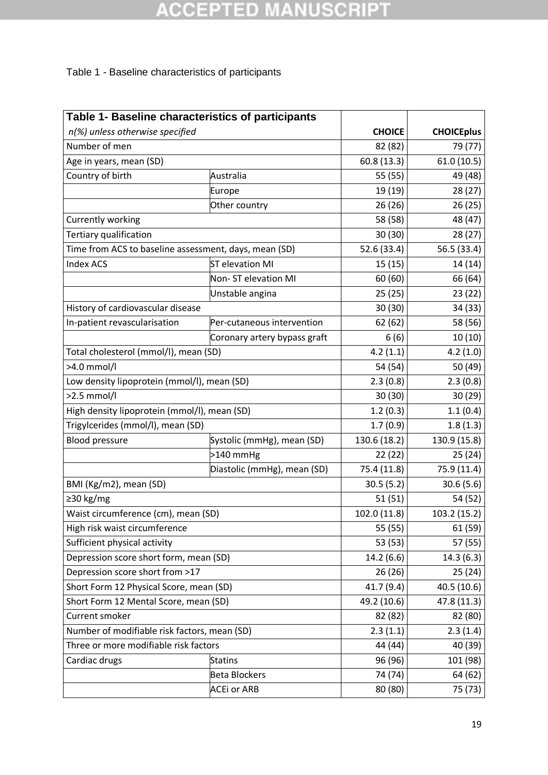### Table 1 - Baseline characteristics of participants

| Table 1- Baseline characteristics of participants     |                              |                   |              |
|-------------------------------------------------------|------------------------------|-------------------|--------------|
| n(%) unless otherwise specified                       | <b>CHOICE</b>                | <b>CHOICEplus</b> |              |
| Number of men                                         | 82 (82)                      | 79 (77)           |              |
| Age in years, mean (SD)                               | 60.8(13.3)                   | 61.0(10.5)        |              |
| Country of birth                                      | Australia                    | 55 (55)           | 49 (48)      |
|                                                       | Europe                       | 19 (19)           | 28 (27)      |
|                                                       | Other country                | 26(26)            | 26(25)       |
| <b>Currently working</b>                              |                              | 58 (58)           | 48 (47)      |
| Tertiary qualification                                |                              | 30(30)            | 28 (27)      |
| Time from ACS to baseline assessment, days, mean (SD) |                              | 52.6 (33.4)       | 56.5 (33.4)  |
| <b>Index ACS</b>                                      | <b>ST</b> elevation MI       | 15(15)            | 14 (14)      |
|                                                       | Non-ST elevation MI          | 60 (60)           | 66 (64)      |
|                                                       | Unstable angina              | 25 (25)           | 23 (22)      |
| History of cardiovascular disease                     |                              | 30(30)            | 34 (33)      |
| In-patient revascularisation                          | Per-cutaneous intervention   | 62 (62)           | 58 (56)      |
|                                                       | Coronary artery bypass graft | 6(6)              | 10(10)       |
| Total cholesterol (mmol/l), mean (SD)                 |                              | 4.2(1.1)          | 4.2(1.0)     |
| >4.0 mmol/l                                           |                              | 54 (54)           | 50 (49)      |
| Low density lipoprotein (mmol/l), mean (SD)           |                              | 2.3(0.8)          | 2.3(0.8)     |
| $>2.5$ mmol/l                                         |                              | 30(30)            | 30(29)       |
| High density lipoprotein (mmol/l), mean (SD)          |                              | 1.2(0.3)          | 1.1(0.4)     |
| Trigylcerides (mmol/l), mean (SD)                     |                              | 1.7(0.9)          | 1.8(1.3)     |
| <b>Blood pressure</b><br>Systolic (mmHg), mean (SD)   |                              | 130.6 (18.2)      | 130.9 (15.8) |
|                                                       | $>140$ mmHg                  | 22 (22)           | 25 (24)      |
|                                                       | Diastolic (mmHg), mean (SD)  | 75.4 (11.8)       | 75.9 (11.4)  |
| BMI (Kg/m2), mean (SD)                                |                              | 30.5(5.2)         | 30.6(5.6)    |
| ≥30 kg/mg                                             |                              | 51 (51)           | 54 (52)      |
| Waist circumference (cm), mean (SD)                   |                              | 102.0 (11.8)      | 103.2(15.2)  |
| High risk waist circumference                         |                              | 55 (55)           | 61 (59)      |
| Sufficient physical activity                          |                              | 53 (53)           | 57 (55)      |
| Depression score short form, mean (SD)                |                              | 14.2(6.6)         | 14.3(6.3)    |
| Depression score short from >17                       |                              | 26(26)            | 25(24)       |
| Short Form 12 Physical Score, mean (SD)               |                              | 41.7 (9.4)        | 40.5 (10.6)  |
| Short Form 12 Mental Score, mean (SD)                 |                              | 49.2 (10.6)       | 47.8 (11.3)  |
| Current smoker                                        |                              | 82 (82)           | 82 (80)      |
| Number of modifiable risk factors, mean (SD)          |                              | 2.3(1.1)          | 2.3(1.4)     |
| Three or more modifiable risk factors                 |                              | 44 (44)           | 40 (39)      |
| Cardiac drugs                                         | <b>Statins</b>               | 96 (96)           | 101 (98)     |
|                                                       | <b>Beta Blockers</b>         | 74 (74)           | 64 (62)      |
|                                                       | <b>ACEi or ARB</b>           | 80 (80)           | 75 (73)      |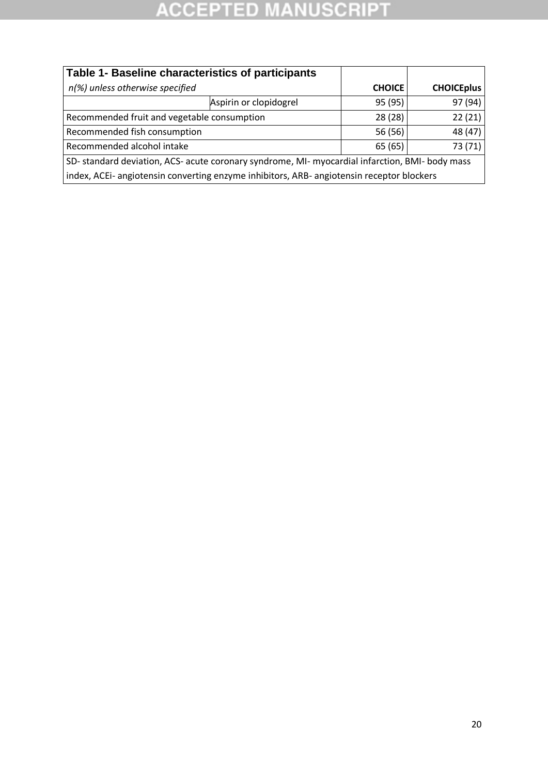| Table 1- Baseline characteristics of participants                                              |                        |                   |         |  |  |
|------------------------------------------------------------------------------------------------|------------------------|-------------------|---------|--|--|
| n(%) unless otherwise specified                                                                | <b>CHOICE</b>          | <b>CHOICEplus</b> |         |  |  |
|                                                                                                | Aspirin or clopidogrel | 95 (95)           | 97 (94) |  |  |
| Recommended fruit and vegetable consumption                                                    |                        | 28(28)            | 22(21)  |  |  |
| Recommended fish consumption                                                                   |                        | 56 (56)           | 48 (47) |  |  |
| Recommended alcohol intake                                                                     |                        | 65 (65)           | 73 (71) |  |  |
| SD-standard deviation, ACS- acute coronary syndrome, MI- myocardial infarction, BMI- body mass |                        |                   |         |  |  |
| index, ACEi- angiotensin converting enzyme inhibitors, ARB- angiotensin receptor blockers      |                        |                   |         |  |  |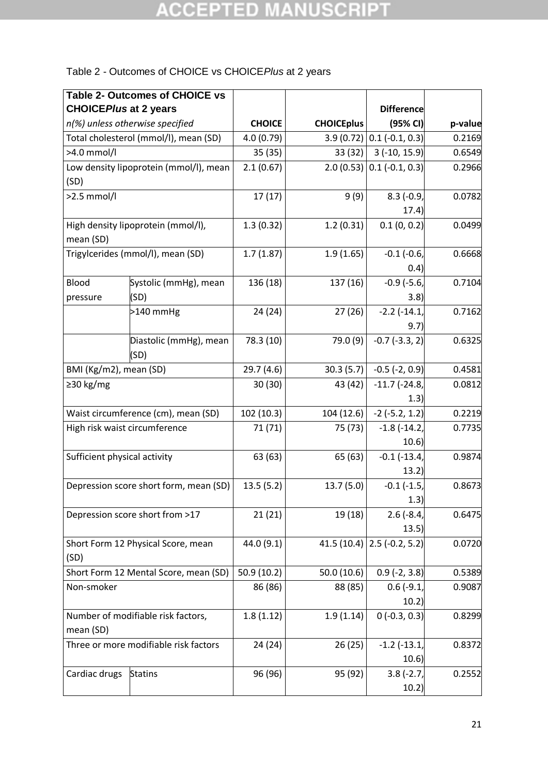### Table 2 - Outcomes of CHOICE vs CHOICE*Plus* at 2 years

|                                       | Table 2- Outcomes of CHOICE vs         |               |                   |                             |         |
|---------------------------------------|----------------------------------------|---------------|-------------------|-----------------------------|---------|
| <b>CHOICEPlus at 2 years</b>          |                                        |               |                   | <b>Difference</b>           |         |
|                                       | n(%) unless otherwise specified        | <b>CHOICE</b> | <b>CHOICEplus</b> | (95% Cl)                    | p-value |
|                                       | Total cholesterol (mmol/l), mean (SD)  | 4.0(0.79)     | 3.9(0.72)         | $0.1$ (-0.1, 0.3)           | 0.2169  |
| >4.0 mmol/l                           |                                        | 35(35)        | 33 (32)           | $3(-10, 15.9)$              | 0.6549  |
|                                       | Low density lipoprotein (mmol/l), mean | 2.1(0.67)     |                   | $2.0(0.53)$ 0.1 (-0.1, 0.3) | 0.2966  |
| (SD)                                  |                                        |               |                   |                             |         |
| $>2.5$ mmol/l                         |                                        | 17(17)        | 9(9)              | $8.3$ (-0.9,<br>17.4)       | 0.0782  |
|                                       |                                        |               |                   |                             |         |
| mean (SD)                             | High density lipoprotein (mmol/l),     | 1.3(0.32)     | 1.2(0.31)         | 0.1(0, 0.2)                 | 0.0499  |
|                                       | Trigylcerides (mmol/l), mean (SD)      | 1.7(1.87)     | 1.9(1.65)         | $-0.1$ $(-0.6)$             | 0.6668  |
|                                       |                                        |               |                   | (0.4)                       |         |
| Blood                                 | Systolic (mmHg), mean                  | 136 (18)      | 137 (16)          | $-0.9$ ( $-5.6$ )           | 0.7104  |
| pressure                              | (SD)                                   |               |                   | 3.8)                        |         |
|                                       | $>140$ mmHg                            | 24 (24)       | 27(26)            | $-2.2$ $(-14.1,$            | 0.7162  |
|                                       |                                        |               |                   | 9.7)                        |         |
|                                       | Diastolic (mmHg), mean                 | 78.3 (10)     | 79.0 (9)          | $-0.7$ $(-3.3, 2)$          | 0.6325  |
|                                       | (SD)                                   |               |                   |                             |         |
| BMI (Kg/m2), mean (SD)                |                                        | 29.7(4.6)     | 30.3(5.7)         | $-0.5$ $(-2, 0.9)$          | 0.4581  |
| ≥30 kg/mg                             |                                        | 30 (30)       | 43 (42)           | $-11.7$ ( $-24.8$ )         | 0.0812  |
|                                       |                                        |               |                   | 1.3)                        |         |
|                                       | Waist circumference (cm), mean (SD)    | 102 (10.3)    | 104 (12.6)        | $-2$ ( $-5.2$ , 1.2)        | 0.2219  |
| High risk waist circumference         |                                        | 71 (71)       | 75 (73)           | $-1.8$ ( $-14.2$ )          | 0.7735  |
|                                       |                                        |               |                   | 10.6)                       |         |
| Sufficient physical activity          |                                        | 63 (63)       | 65 (63)           | $-0.1$ $(-13.4)$            | 0.9874  |
|                                       |                                        |               |                   | 13.2)                       |         |
|                                       | Depression score short form, mean (SD) | 13.5(5.2)     | 13.7(5.0)         | $-0.1$ ( $-1.5$ )           | 0.8673  |
|                                       |                                        |               |                   | 1.3)                        |         |
| Depression score short from >17       |                                        | 21(21)        | 19 (18)           | $2.6$ (-8.4,                | 0.6475  |
|                                       |                                        |               |                   | 13.5)                       |         |
|                                       | Short Form 12 Physical Score, mean     | 44.0 (9.1)    | 41.5(10.4)        | $2.5(-0.2, 5.2)$            | 0.0720  |
| (SD)                                  |                                        |               |                   |                             |         |
|                                       | Short Form 12 Mental Score, mean (SD)  | 50.9(10.2)    | 50.0(10.6)        | $0.9$ (-2, 3.8)             | 0.5389  |
| Non-smoker                            |                                        | 86 (86)       | 88 (85)           | $0.6(-9.1)$                 | 0.9087  |
|                                       |                                        |               |                   | 10.2)                       |         |
|                                       | Number of modifiable risk factors,     | 1.8(1.12)     | 1.9(1.14)         | $0(-0.3, 0.3)$              | 0.8299  |
| mean (SD)                             |                                        |               |                   |                             |         |
| Three or more modifiable risk factors |                                        | 24 (24)       | 26(25)            | $-1.2$ ( $-13.1$ )          | 0.8372  |
|                                       |                                        |               |                   | 10.6)                       |         |
| Cardiac drugs                         | <b>Statins</b>                         | 96 (96)       | 95 (92)           | $3.8(-2.7,$                 | 0.2552  |
|                                       |                                        |               |                   | 10.2)                       |         |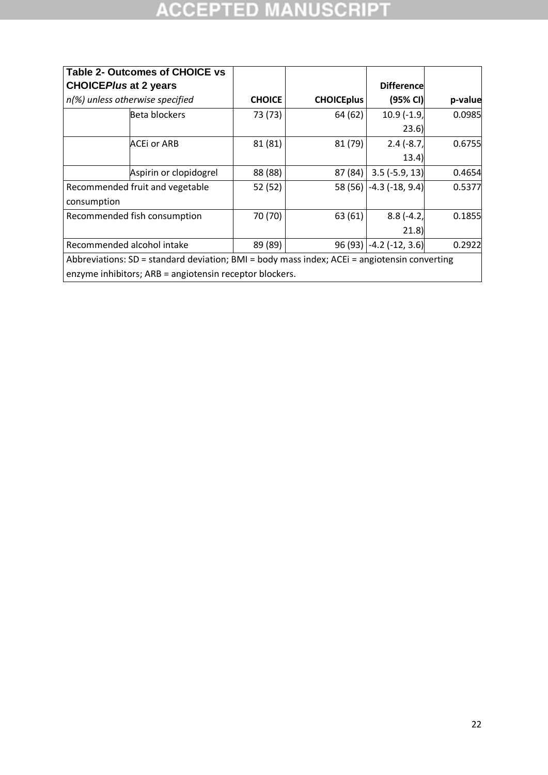| <b>Table 2- Outcomes of CHOICE vs</b>                                                        |               |                   |                         |         |
|----------------------------------------------------------------------------------------------|---------------|-------------------|-------------------------|---------|
| <b>CHOICEPIus at 2 years</b>                                                                 |               |                   | <b>Difference</b>       |         |
| n(%) unless otherwise specified                                                              | <b>CHOICE</b> | <b>CHOICEplus</b> | (95% CI)                | p-value |
| Beta blockers                                                                                | 73 (73)       | 64 (62)           | $10.9$ (-1.9,           | 0.0985  |
|                                                                                              |               |                   | 23.6)                   |         |
| ACEi or ARB                                                                                  | 81 (81)       | 81 (79)           | $2.4(-8.7)$             | 0.6755  |
|                                                                                              |               |                   | (13.4)                  |         |
| Aspirin or clopidogrel                                                                       | 88 (88)       | 87 (84)           | $3.5(-5.9, 13)$         | 0.4654  |
| Recommended fruit and vegetable                                                              | 52 (52)       |                   | 58 (56) -4.3 (-18, 9.4) | 0.5377  |
| consumption                                                                                  |               |                   |                         |         |
| Recommended fish consumption                                                                 | 70 (70)       | 63 (61)           | $8.8(-4.2,$             | 0.1855  |
|                                                                                              |               |                   | 21.8                    |         |
| Recommended alcohol intake                                                                   | 89 (89)       | 96(93)            | $-4.2$ ( $-12, 3.6$ )   | 0.2922  |
| Abbreviations: SD = standard deviation; BMI = body mass index; ACEi = angiotensin converting |               |                   |                         |         |
| enzyme inhibitors; ARB = angiotensin receptor blockers.                                      |               |                   |                         |         |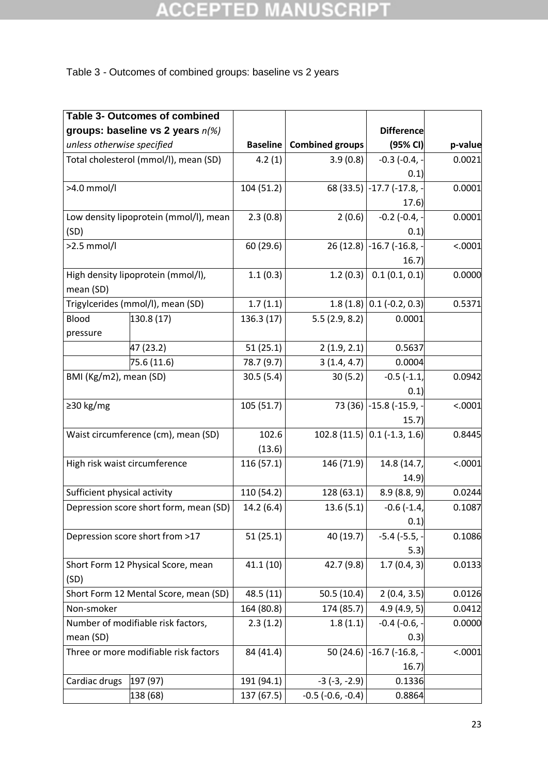### Table 3 - Outcomes of combined groups: baseline vs 2 years

|                                       | <b>Table 3- Outcomes of combined</b>   |                 |                            |                            |         |
|---------------------------------------|----------------------------------------|-----------------|----------------------------|----------------------------|---------|
|                                       | groups: baseline vs 2 years $n\ll 8$   |                 |                            | <b>Difference</b>          |         |
| unless otherwise specified            |                                        | <b>Baseline</b> | <b>Combined groups</b>     | (95% Cl)                   | p-value |
|                                       | Total cholesterol (mmol/l), mean (SD)  | 4.2(1)          | 3.9(0.8)                   | $-0.3$ ( $-0.4$ , $-$      | 0.0021  |
|                                       |                                        |                 |                            | (0.1)                      |         |
| >4.0 mmol/l                           |                                        | 104 (51.2)      | 68 (33.5)                  | $-17.7$ ( $-17.8$ , $-$    | 0.0001  |
|                                       |                                        |                 |                            | 17.6)                      |         |
|                                       | Low density lipoprotein (mmol/l), mean | 2.3(0.8)        | 2(0.6)                     | $-0.2$ ( $-0.4$ , $-$      | 0.0001  |
| (SD)                                  |                                        |                 |                            | 0.1)                       |         |
| $>2.5$ mmol/l                         |                                        | 60 (29.6)       | 26(12.8)                   | $-16.7$ ( $-16.8$ , $-$    | < .0001 |
|                                       |                                        |                 |                            | 16.7)                      |         |
|                                       | High density lipoprotein (mmol/l),     | 1.1(0.3)        | 1.2(0.3)                   | 0.1(0.1, 0.1)              | 0.0000  |
| mean (SD)                             |                                        |                 |                            |                            |         |
|                                       | Trigylcerides (mmol/l), mean (SD)      | 1.7(1.1)        |                            | $1.8(1.8)$ 0.1 (-0.2, 0.3) | 0.5371  |
| Blood                                 | 130.8 (17)                             | 136.3 (17)      | 5.5(2.9, 8.2)              | 0.0001                     |         |
| pressure                              |                                        |                 |                            |                            |         |
|                                       | 47 (23.2)                              | 51(25.1)        | 2(1.9, 2.1)                | 0.5637                     |         |
|                                       | 75.6 (11.6)                            | 78.7 (9.7)      | 3(1.4, 4.7)                | 0.0004                     |         |
| BMI (Kg/m2), mean (SD)                |                                        | 30.5(5.4)       | 30(5.2)                    | $-0.5(-1.1)$               | 0.0942  |
|                                       |                                        |                 |                            | 0.1)                       |         |
| $\geq$ 30 kg/mg                       |                                        | 105(51.7)       |                            | 73 (36) -15.8 (-15.9, -    | < .0001 |
|                                       |                                        |                 |                            | 15.7)                      |         |
|                                       | Waist circumference (cm), mean (SD)    | 102.6           | 102.8(11.5)                | $0.1$ (-1.3, 1.6)          | 0.8445  |
|                                       |                                        | (13.6)          |                            |                            |         |
|                                       | High risk waist circumference          | 116(57.1)       | 146 (71.9)                 | 14.8 (14.7,                | < .0001 |
|                                       |                                        |                 |                            | 14.9)                      |         |
| Sufficient physical activity          |                                        | 110 (54.2)      | 128 (63.1)                 | 8.9(8.8, 9)                | 0.0244  |
|                                       | Depression score short form, mean (SD) | 14.2(6.4)       | 13.6(5.1)                  | $-0.6$ ( $-1.4$ )          | 0.1087  |
|                                       |                                        |                 |                            | 0.1)                       |         |
|                                       | Depression score short from >17        | 51(25.1)        | 40 (19.7)                  | $-5.4$ ( $-5.5$ ,          | 0.1086  |
|                                       |                                        |                 |                            | 5.3)                       |         |
|                                       | Short Form 12 Physical Score, mean     | 41.1(10)        | 42.7 (9.8)                 | 1.7(0.4, 3)                | 0.0133  |
| (SD)                                  |                                        |                 |                            |                            |         |
|                                       | Short Form 12 Mental Score, mean (SD)  | 48.5 (11)       | 50.5(10.4)                 | 2(0.4, 3.5)                | 0.0126  |
| Non-smoker                            |                                        | 164 (80.8)      | 174 (85.7)                 | 4.9(4.9, 5)                | 0.0412  |
|                                       | Number of modifiable risk factors,     | 2.3(1.2)        | 1.8(1.1)                   | $-0.4$ ( $-0.6$ ,          | 0.0000  |
| mean (SD)                             |                                        |                 |                            | 0.3)                       |         |
| Three or more modifiable risk factors |                                        | 84 (41.4)       | 50 (24.6)                  | $-16.7$ ( $-16.8$ ,        | < .0001 |
|                                       |                                        |                 |                            | 16.7)                      |         |
| Cardiac drugs                         | 197 (97)                               | 191 (94.1)      | $-3$ $(-3, -2.9)$          | 0.1336                     |         |
|                                       | 138 (68)                               | 137 (67.5)      | $-0.5$ ( $-0.6$ , $-0.4$ ) | 0.8864                     |         |